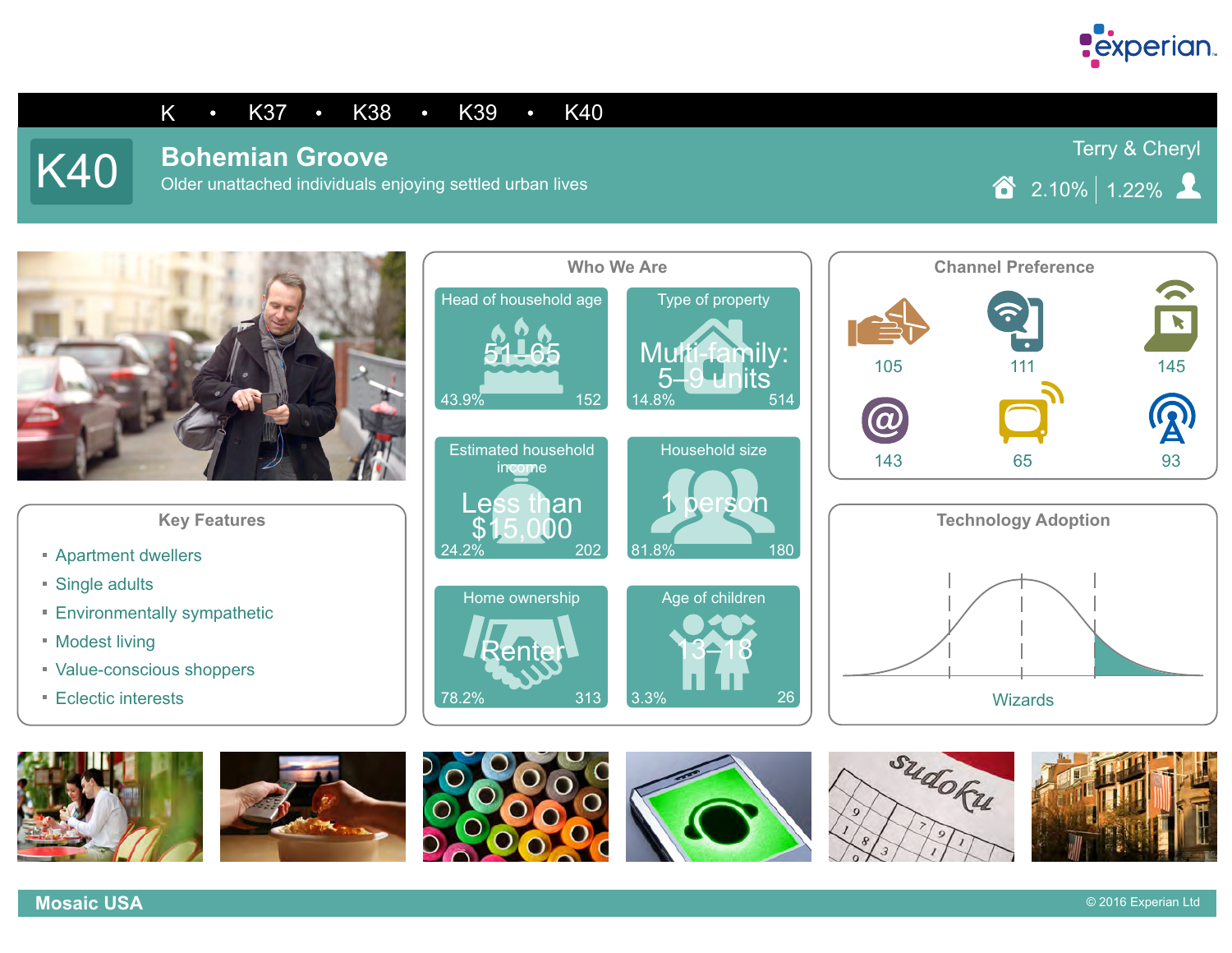

#### K • K37 • K38 • K39 • K40

# **K40** Bohemian Groove

Older unattached individuals enjoying settled urban lives

Terry & Cheryl

 $\textcircled{2.10\%}\xspace$  1.22%  $\textcircled{2.10\%}\xspace$ 



- **Apartment dwellers**
- Single adults
- **Environmentally sympathetic**
- **Modest living**
- Value-conscious shoppers
- **Eclectic interests**

















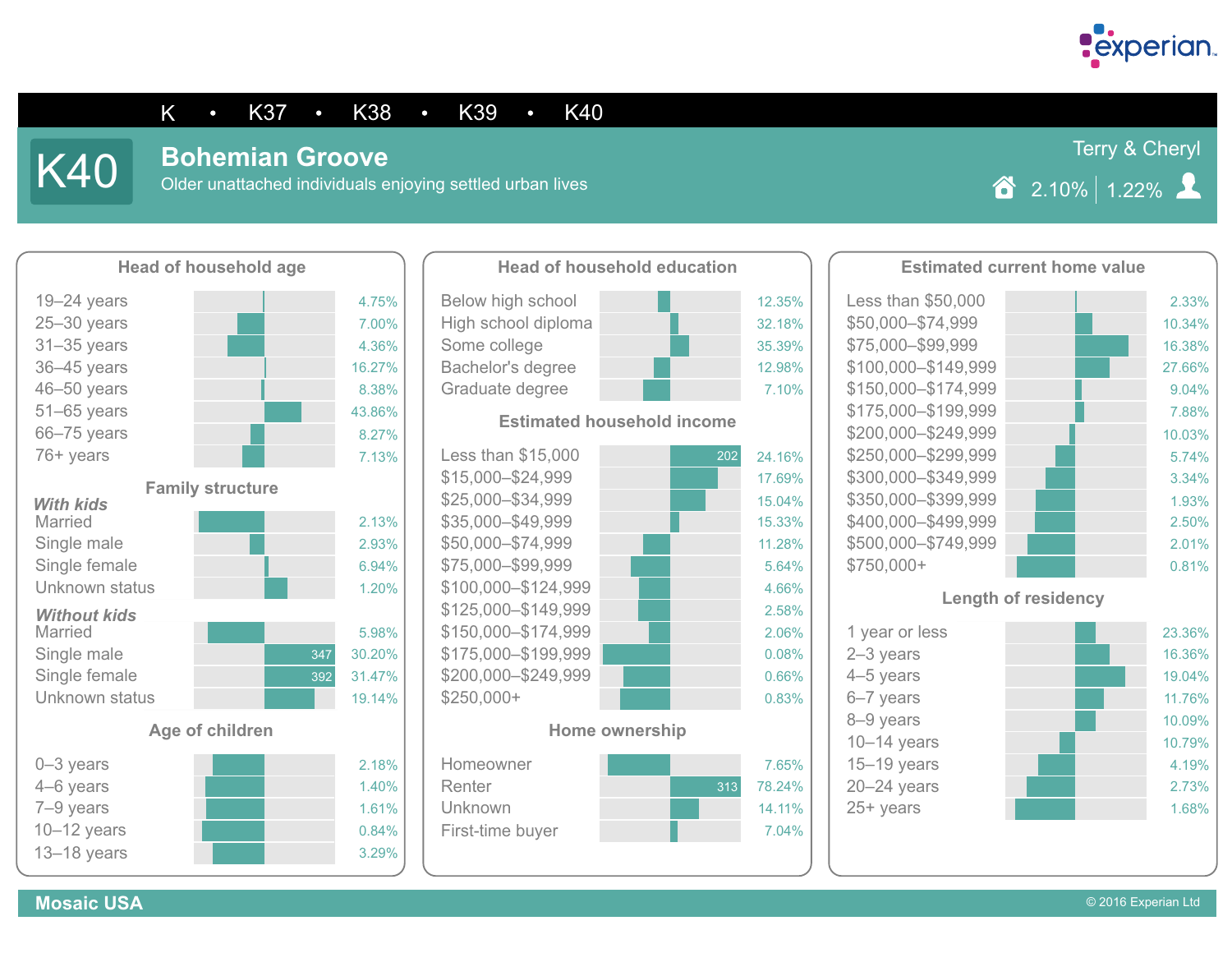

Terry & Cheryl

#### K • K37 • K38 • K39 • K40

**Mosaic USA**

## **K40** Bohemian Groove

Older unattached individuals enjoying settled urban lives

 $\hat{2}$  2.10% 1.22%





#### **Estimated household income**



#### **Home ownership**





25+ years

1.68%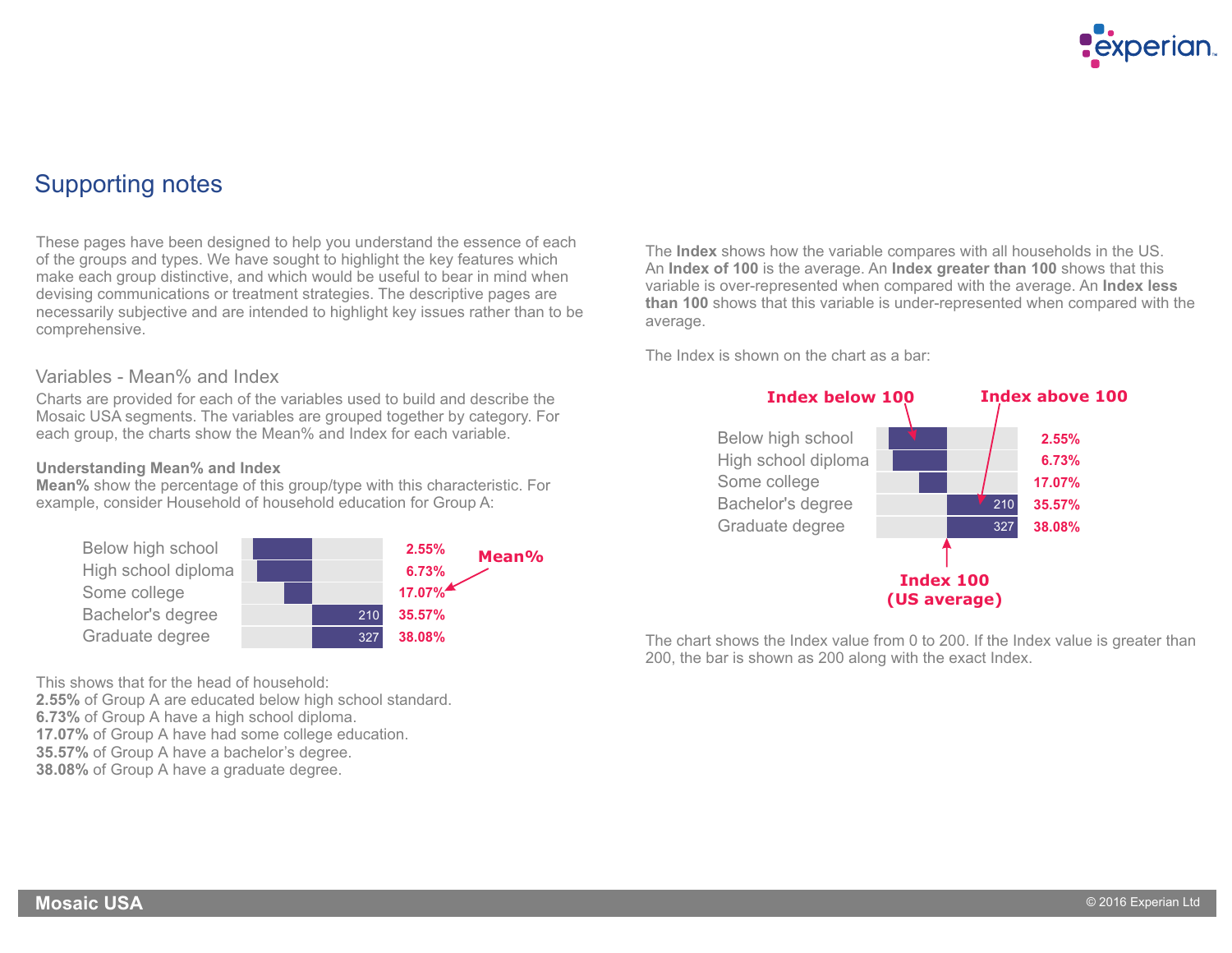

### Supporting notes

These pages have been designed to help you understand the essence of each of the groups and types. We have sought to highlight the key features which make each group distinctive, and which would be useful to bear in mind when devising communications or treatment strategies. The descriptive pages are necessarily subjective and are intended to highlight key issues rather than to be comprehensive.

#### Variables - Mean% and Index

Charts are provided for each of the variables used to build and describe the Mosaic USA segments. The variables are grouped together by category. For each group, the charts show the Mean% and Index for each variable.

#### **Understanding Mean% and Index**

**Mean%** show the percentage of this group/type with this characteristic. For example, consider Household of household education for Group A:



This shows that for the head of household:

**2.55%** of Group A are educated below high school standard. **6.73%** of Group A have a high school diploma. **17.07%** of Group A have had some college education. **35.57%** of Group A have a bachelor's degree.

**38.08%** of Group A have a graduate degree.

The **Index** shows how the variable compares with all households in the US. An **Index of 100** is the average. An **Index greater than 100** shows that this variable is over-represented when compared with the average. An **Index less than 100** shows that this variable is under-represented when compared with the average.

The Index is shown on the chart as a bar:



The chart shows the Index value from 0 to 200. If the Index value is greater than 200, the bar is shown as 200 along with the exact Index.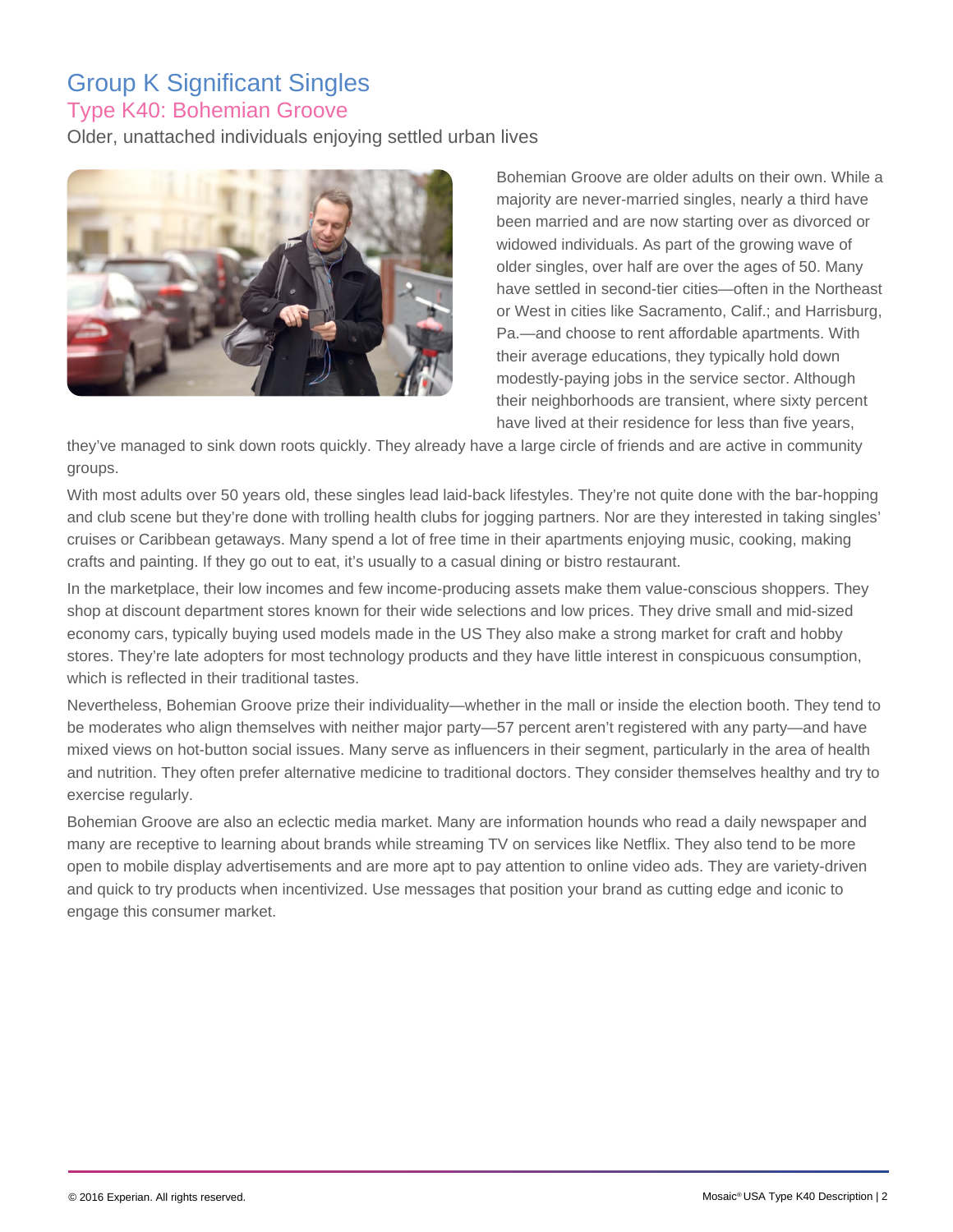## Group K Significant Singles Type K40: Bohemian Groove

Older, unattached individuals enjoying settled urban lives



Bohemian Groove are older adults on their own. While a majority are never-married singles, nearly a third have been married and are now starting over as divorced or widowed individuals. As part of the growing wave of older singles, over half are over the ages of 50. Many have settled in second-tier cities—often in the Northeast or West in cities like Sacramento, Calif.; and Harrisburg, Pa.—and choose to rent affordable apartments. With their average educations, they typically hold down modestly-paying jobs in the service sector. Although their neighborhoods are transient, where sixty percent have lived at their residence for less than five years,

they've managed to sink down roots quickly. They already have a large circle of friends and are active in community groups.

With most adults over 50 years old, these singles lead laid-back lifestyles. They're not quite done with the bar-hopping and club scene but they're done with trolling health clubs for jogging partners. Nor are they interested in taking singles' cruises or Caribbean getaways. Many spend a lot of free time in their apartments enjoying music, cooking, making crafts and painting. If they go out to eat, it's usually to a casual dining or bistro restaurant.

In the marketplace, their low incomes and few income-producing assets make them value-conscious shoppers. They shop at discount department stores known for their wide selections and low prices. They drive small and mid-sized economy cars, typically buying used models made in the US They also make a strong market for craft and hobby stores. They're late adopters for most technology products and they have little interest in conspicuous consumption, which is reflected in their traditional tastes.

Nevertheless, Bohemian Groove prize their individuality—whether in the mall or inside the election booth. They tend to be moderates who align themselves with neither major party—57 percent aren't registered with any party—and have mixed views on hot-button social issues. Many serve as influencers in their segment, particularly in the area of health and nutrition. They often prefer alternative medicine to traditional doctors. They consider themselves healthy and try to exercise regularly.

Bohemian Groove are also an eclectic media market. Many are information hounds who read a daily newspaper and many are receptive to learning about brands while streaming TV on services like Netflix. They also tend to be more open to mobile display advertisements and are more apt to pay attention to online video ads. They are variety-driven and quick to try products when incentivized. Use messages that position your brand as cutting edge and iconic to engage this consumer market.